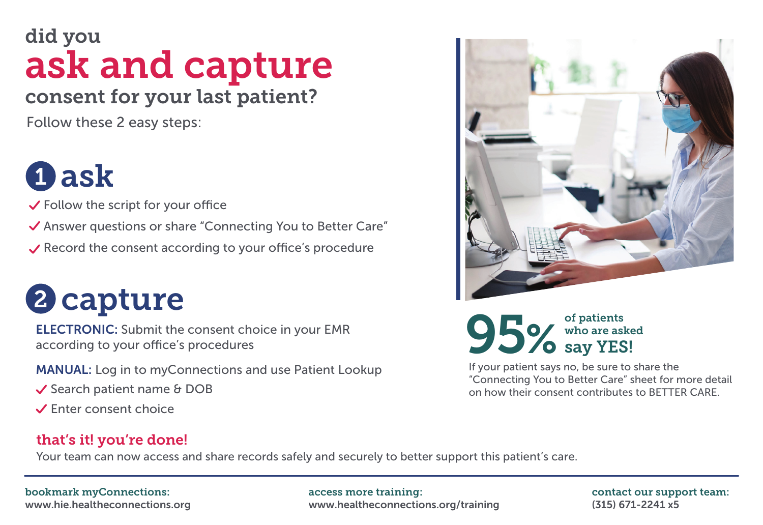## did you ask and capture consent for your last patient?

Follow these 2 easy steps:

# **1)** ask

 $\checkmark$  Follow the script for your office

◆ Answer questions or share "Connecting You to Better Care"

 $\vee$  Record the consent according to your office's procedure

# 2 capture

ELECTRONIC: Submit the consent choice in your EMR according to your office's procedures

MANUAL: Log in to myConnections and use Patient Lookup

- $\checkmark$  Search patient name & DOB
- Enter consent choice

### that's it! you're done!

Your team can now access and share records safely and securely to better support this patient's care.

#### bookmark myConnections:

www.hie.healtheconnections.org

access more training: www.healtheconnections.org/training contact our support team: (315) 671-2241 x5